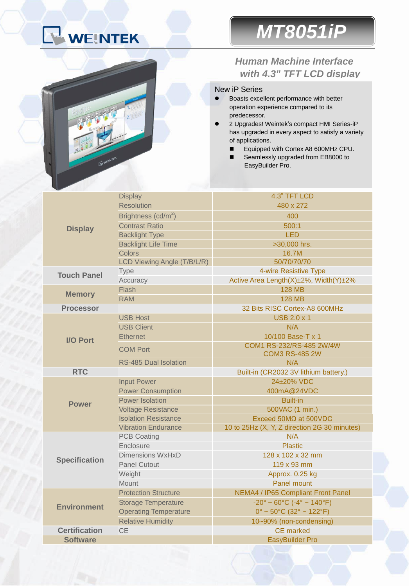## WEINTEK

è

## *MT8051iP*

## *Human Machine Interface with 4.3" TFT LCD display*

## New iP Series

- Boasts excellent performance with better operation experience compared to its predecessor.
- 2 Upgrades! Weintek's compact HMI Series-iP has upgraded in every aspect to satisfy a variety of applications.
	- Equipped with Cortex A8 600MHz CPU.
	- Seamlessly upgraded from EB8000 to EasyBuilder Pro.

| <b>Display</b>       | <b>Display</b>                  | 4.3" TFT LCD                                                       |  |
|----------------------|---------------------------------|--------------------------------------------------------------------|--|
|                      | <b>Resolution</b>               | 480 x 272                                                          |  |
|                      | Brightness (cd/m <sup>2</sup> ) | 400                                                                |  |
|                      | <b>Contrast Ratio</b>           | 500:1                                                              |  |
|                      | <b>Backlight Type</b>           | <b>LED</b>                                                         |  |
|                      | <b>Backlight Life Time</b>      | >30,000 hrs.                                                       |  |
|                      | Colors<br>16.7M                 |                                                                    |  |
|                      | LCD Viewing Angle (T/B/L/R)     | 50/70/70/70                                                        |  |
| <b>Touch Panel</b>   | <b>Type</b>                     | 4-wire Resistive Type                                              |  |
|                      | Accuracy                        | Active Area Length(X)±2%, Width(Y)±2%                              |  |
| <b>Memory</b>        | Flash                           | <b>128 MB</b>                                                      |  |
|                      | <b>RAM</b>                      | <b>128 MB</b>                                                      |  |
| <b>Processor</b>     |                                 | 32 Bits RISC Cortex-A8 600MHz                                      |  |
| <b>I/O Port</b>      | <b>USB Host</b>                 | <b>USB 2.0 x 1</b>                                                 |  |
|                      | <b>USB Client</b>               | N/A                                                                |  |
|                      | Ethernet                        | 10/100 Base-T x 1                                                  |  |
|                      | <b>COM Port</b>                 | COM1 RS-232/RS-485 2W/4W                                           |  |
|                      |                                 | <b>COM3 RS-485 2W</b>                                              |  |
|                      | <b>RS-485 Dual Isolation</b>    | N/A                                                                |  |
| <b>RTC</b>           |                                 | Built-in (CR2032 3V lithium battery.)                              |  |
|                      | <b>Input Power</b>              | 24±20% VDC                                                         |  |
|                      | <b>Power Consumption</b>        | 400mA@24VDC                                                        |  |
| <b>Power</b>         | <b>Power Isolation</b>          | <b>Built-in</b>                                                    |  |
|                      | <b>Voltage Resistance</b>       | 500VAC (1 min.)                                                    |  |
|                      | <b>Isolation Resistance</b>     | Exceed 50MΩ at 500VDC                                              |  |
|                      | <b>Vibration Endurance</b>      | 10 to 25Hz (X, Y, Z direction 2G 30 minutes)                       |  |
| <b>Specification</b> | <b>PCB Coating</b>              | N/A                                                                |  |
|                      | Enclosure                       | <b>Plastic</b>                                                     |  |
|                      | <b>Dimensions WxHxD</b>         | 128 x 102 x 32 mm                                                  |  |
|                      | <b>Panel Cutout</b>             | 119 x 93 mm                                                        |  |
|                      | Weight                          | Approx. 0.25 kg                                                    |  |
|                      |                                 |                                                                    |  |
|                      | Mount                           | <b>Panel mount</b>                                                 |  |
|                      | <b>Protection Structure</b>     | NEMA4 / IP65 Compliant Front Panel                                 |  |
|                      | <b>Storage Temperature</b>      | $-20^{\circ} \sim 60^{\circ}$ C ( $-4^{\circ} \sim 140^{\circ}$ F) |  |
| <b>Environment</b>   | <b>Operating Temperature</b>    | $0^{\circ}$ ~ 50 $^{\circ}$ C (32 $^{\circ}$ ~ 122 $^{\circ}$ F)   |  |
|                      | <b>Relative Humidity</b>        | 10~90% (non-condensing)                                            |  |
| <b>Certification</b> | <b>CE</b>                       | <b>CE</b> marked                                                   |  |